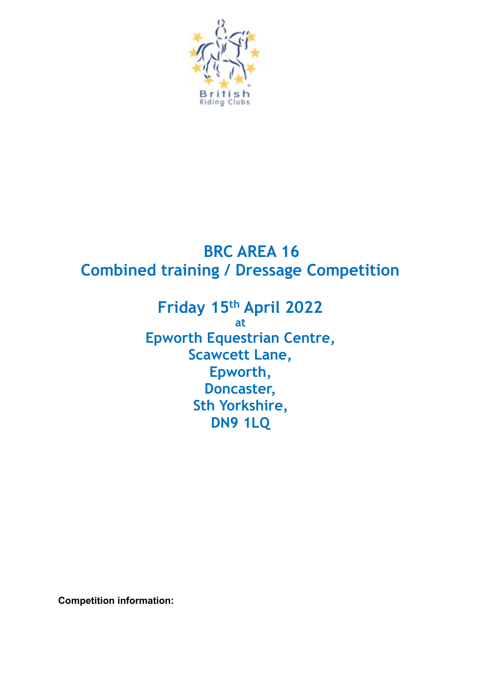

# **BRC AREA 16 Combined training / Dressage Competition**

**Friday 15th April 2022 at Epworth Equestrian Centre, Scawcett Lane, Epworth, Doncaster, Sth Yorkshire, DN9 1LQ** 

**Competition information:**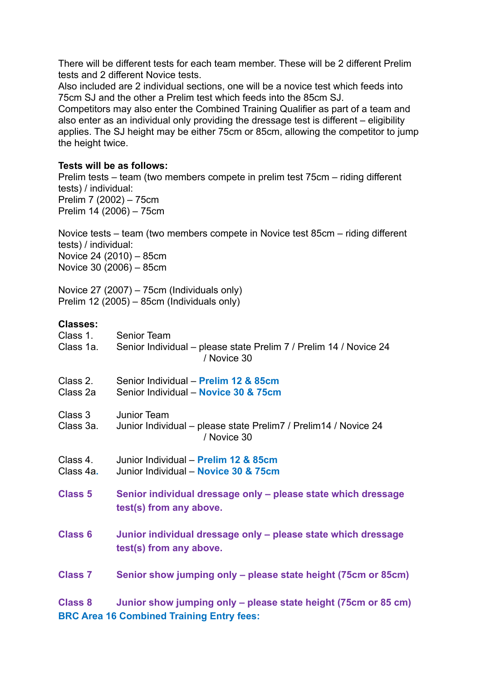There will be different tests for each team member. These will be 2 different Prelim tests and 2 different Novice tests.

Also included are 2 individual sections, one will be a novice test which feeds into 75cm SJ and the other a Prelim test which feeds into the 85cm SJ.

Competitors may also enter the Combined Training Qualifier as part of a team and also enter as an individual only providing the dressage test is different – eligibility applies. The SJ height may be either 75cm or 85cm, allowing the competitor to jump the height twice.

## **Tests will be as follows:**

Prelim tests – team (two members compete in prelim test 75cm – riding different tests) / individual: Prelim 7 (2002) – 75cm Prelim 14 (2006) – 75cm

Novice tests – team (two members compete in Novice test 85cm – riding different tests) / individual: Novice 24 (2010) – 85cm Novice 30 (2006) – 85cm

Novice 27 (2007) – 75cm (Individuals only) Prelim 12 (2005) – 85cm (Individuals only)

## **Classes:**

| Class 1.              | <b>Senior Team</b>                                                                                                 |
|-----------------------|--------------------------------------------------------------------------------------------------------------------|
| Class 1a.             | Senior Individual – please state Prelim 7 / Prelim 14 / Novice 24<br>/ Novice 30                                   |
| Class 2.<br>Class 2a  | Senior Individual - Prelim 12 & 85cm<br>Senior Individual - Novice 30 & 75cm                                       |
| Class 3<br>Class 3a.  | Junior Team<br>Junior Individual – please state Prelim 7 / Prelim 14 / Novice 24<br>/ Novice 30                    |
| Class 4.<br>Class 4a. | Junior Individual - Prelim 12 & 85cm<br>Junior Individual - Novice 30 & 75cm                                       |
| <b>Class 5</b>        | Senior individual dressage only - please state which dressage<br>test(s) from any above.                           |
| <b>Class 6</b>        | Junior individual dressage only - please state which dressage<br>test(s) from any above.                           |
| <b>Class 7</b>        | Senior show jumping only – please state height (75cm or 85cm)                                                      |
| <b>Class 8</b>        | Junior show jumping only – please state height (75cm or 85 cm)<br><b>BRC Area 16 Combined Training Entry fees:</b> |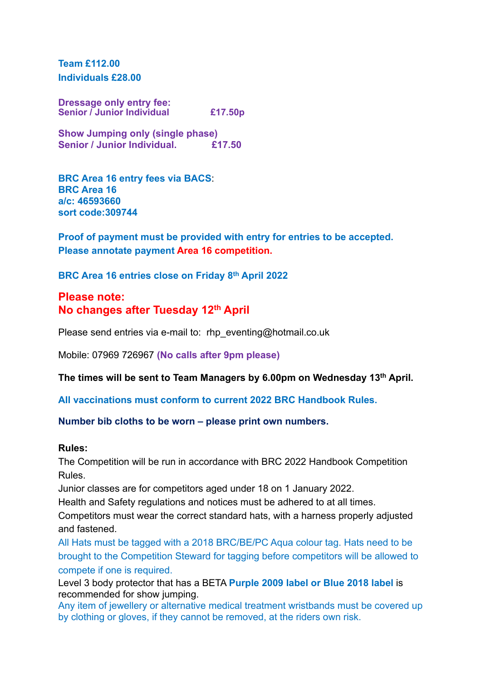**Team £112.00 Individuals £28.00** 

**Dressage only entry fee: Senior / Junior Individual £17.50p** 

**Show Jumping only (single phase) Senior / Junior Individual. £17.50** 

**BRC Area 16 entry fees via BACS**: **BRC Area 16 a/c: 46593660 sort code:309744** 

**Proof of payment must be provided with entry for entries to be accepted. Please annotate payment Area 16 competition.** 

**BRC Area 16 entries close on Friday 8th April 2022**

## **Please note: No changes after Tuesday 12th April**

Please send entries via e-mail to: rhp\_eventing@hotmail.co.uk

Mobile: 07969 726967 **(No calls after 9pm please)**

**The times will be sent to Team Managers by 6.00pm on Wednesday 13th April.** 

**All vaccinations must conform to current 2022 BRC Handbook Rules.**

### **Number bib cloths to be worn – please print own numbers.**

#### **Rules:**

The Competition will be run in accordance with BRC 2022 Handbook Competition Rules.

Junior classes are for competitors aged under 18 on 1 January 2022.

Health and Safety regulations and notices must be adhered to at all times.

Competitors must wear the correct standard hats, with a harness properly adjusted and fastened.

All Hats must be tagged with a 2018 BRC/BE/PC Aqua colour tag. Hats need to be brought to the Competition Steward for tagging before competitors will be allowed to compete if one is required.

Level 3 body protector that has a BETA **Purple 2009 label or Blue 2018 label** is recommended for show jumping.

Any item of jewellery or alternative medical treatment wristbands must be covered up by clothing or gloves, if they cannot be removed, at the riders own risk.